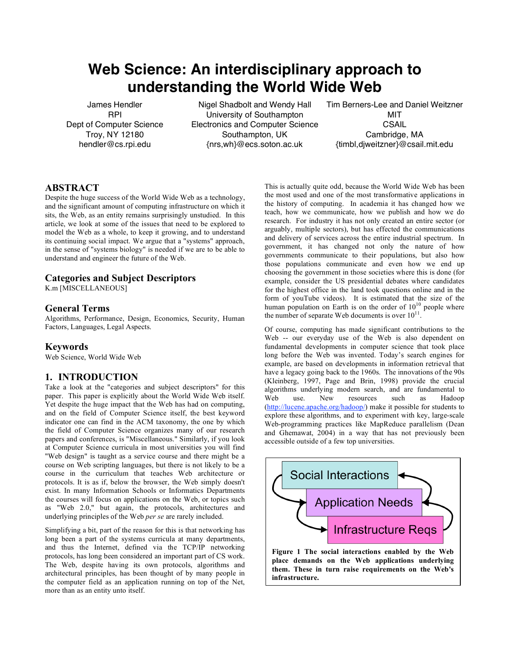# **Web Science: An interdisciplinary approach to understanding the World Wide Web**

James Hendler RPI Dept of Computer Science Troy, NY 12180 hendler@cs.rpi.edu

Nigel Shadbolt and Wendy Hall University of Southampton Electronics and Computer Science Southampton, UK {nrs,wh}@ecs.soton.ac.uk

Tim Berners-Lee and Daniel Weitzner **MIT CSAIL** Cambridge, MA {timbl,djweitzner}@csail.mit.edu

# **ABSTRACT**

Despite the huge success of the World Wide Web as a technology, and the significant amount of computing infrastructure on which it sits, the Web, as an entity remains surprisingly unstudied. In this article, we look at some of the issues that need to be explored to model the Web as a whole, to keep it growing, and to understand its continuing social impact. We argue that a "systems" approach, in the sense of "systems biology" is needed if we are to be able to understand and engineer the future of the Web.

### **Categories and Subject Descriptors**

K.m [MISCELLANEOUS]

## **General Terms**

Algorithms, Performance, Design, Economics, Security, Human Factors, Languages, Legal Aspects.

#### **Keywords**

Web Science, World Wide Web

# **1. INTRODUCTION**

Take a look at the "categories and subject descriptors" for this paper. This paper is explicitly about the World Wide Web itself. Yet despite the huge impact that the Web has had on computing, and on the field of Computer Science itself, the best keyword indicator one can find in the ACM taxonomy, the one by which the field of Computer Science organizes many of our research papers and conferences, is "Miscellaneous." Similarly, if you look at Computer Science curricula in most universities you will find "Web design" is taught as a service course and there might be a course on Web scripting languages, but there is not likely to be a course in the curriculum that teaches Web architecture or protocols. It is as if, below the browser, the Web simply doesn't exist. In many Information Schools or Informatics Departments the courses will focus on applications on the Web, or topics such as "Web 2.0," but again, the protocols, architectures and underlying principles of the Web *per se* are rarely included.

Simplifying a bit, part of the reason for this is that networking has long been a part of the systems curricula at many departments, and thus the Internet, defined via the TCP/IP networking protocols, has long been considered an important part of CS work. The Web, despite having its own protocols, algorithms and architectural principles, has been thought of by many people in the computer field as an application running on top of the Net, more than as an entity unto itself.

This is actually quite odd, because the World Wide Web has been the most used and one of the most transformative applications in the history of computing. In academia it has changed how we teach, how we communicate, how we publish and how we do research. For industry it has not only created an entire sector (or arguably, multiple sectors), but has effected the communications and delivery of services across the entire industrial spectrum. In government, it has changed not only the nature of how governments communicate to their populations, but also how those populations communicate and even how we end up choosing the government in those societies where this is done (for example, consider the US presidential debates where candidates for the highest office in the land took questions online and in the form of youTube videos). It is estimated that the size of the human population on Earth is on the order of  $10^{10}$  people where the number of separate Web documents is over  $10^{11}$ .

Of course, computing has made significant contributions to the Web -- our everyday use of the Web is also dependent on fundamental developments in computer science that took place long before the Web was invented. Today's search engines for example, are based on developments in information retrieval that have a legacy going back to the 1960s. The innovations of the 90s (Kleinberg, 1997, Page and Brin, 1998) provide the crucial algorithms underlying modern search, and are fundamental to Web use. New resources such as Hadoop (http://lucene.apache.org/hadoop/) make it possible for students to explore these algorithms, and to experiment with key, large-scale Web-programming practices like MapReduce parallelism (Dean and Ghemawat, 2004) in a way that has not previously been accessible outside of a few top universities.

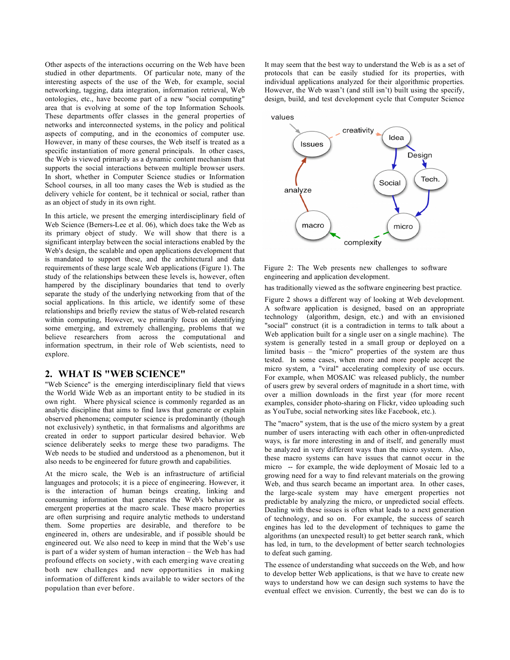Other aspects of the interactions occurring on the Web have been studied in other departments. Of particular note, many of the interesting aspects of the use of the Web, for example, social networking, tagging, data integration, information retrieval, Web ontologies, etc., have become part of a new "social computing" area that is evolving at some of the top Information Schools. These departments offer classes in the general properties of networks and interconnected systems, in the policy and political aspects of computing, and in the economics of computer use. However, in many of these courses, the Web itself is treated as a specific instantiation of more general principals. In other cases, the Web is viewed primarily as a dynamic content mechanism that supports the social interactions between multiple browser users. In short, whether in Computer Science studies or Information School courses, in all too many cases the Web is studied as the delivery vehicle for content, be it technical or social, rather than as an object of study in its own right.

In this article, we present the emerging interdisciplinary field of Web Science (Berners-Lee et al. 06), which does take the Web as its primary object of study. We will show that there is a significant interplay between the social interactions enabled by the Web's design, the scalable and open applications development that is mandated to support these, and the architectural and data requirements of these large scale Web applications (Figure 1). The study of the relationships between these levels is, however, often hampered by the disciplinary boundaries that tend to overly separate the study of the underlying networking from that of the social applications. In this article, we identify some of these relationships and briefly review the status of Web-related research within computing, However, we primarily focus on identifying some emerging, and extremely challenging, problems that we believe researchers from across the computational and information spectrum, in their role of Web scientists, need to explore.

#### **2. WHAT IS "WEB SCIENCE"**

"Web Science" is the emerging interdisciplinary field that views the World Wide Web as an important entity to be studied in its own right. Where physical science is commonly regarded as an analytic discipline that aims to find laws that generate or explain observed phenomena; computer science is predominantly (though not exclusively) synthetic, in that formalisms and algorithms are created in order to support particular desired behavior. Web science deliberately seeks to merge these two paradigms. The Web needs to be studied and understood as a phenomenon, but it also needs to be engineered for future growth and capabilities.

At the micro scale, the Web is an infrastructure of artificial languages and protocols; it is a piece of engineering. However, it is the interaction of human beings creating, linking and consuming information that generates the Web's behavior as emergent properties at the macro scale. These macro properties are often surprising and require analytic methods to understand them. Some properties are desirable, and therefore to be engineered in, others are undesirable, and if possible should be engineered out. We also need to keep in mind that the Web's use is part of a wider system of human interaction – the Web has had profound effects on society, with each emerging wave creating both new challenges and new opportunities in making information of different kinds available to wider sectors of the population than ever before.

It may seem that the best way to understand the Web is as a set of protocols that can be easily studied for its properties, with individual applications analyzed for their algorithmic properties. However, the Web wasn't (and still isn't) built using the specify, design, build, and test development cycle that Computer Science



Figure 2: The Web presents new challenges to software engineering and application development.

has traditionally viewed as the software engineering best practice.

Figure 2 shows a different way of looking at Web development. A software application is designed, based on an appropriate technology (algorithm, design, etc.) and with an envisioned "social" construct (it is a contradiction in terms to talk about a Web application built for a single user on a single machine). The system is generally tested in a small group or deployed on a limited basis – the "micro" properties of the system are thus tested. In some cases, when more and more people accept the micro system, a "viral" accelerating complexity of use occurs. For example, when MOSAIC was released publicly, the number of users grew by several orders of magnitude in a short time, with over a million downloads in the first year (for more recent examples, consider photo-sharing on Flickr, video uploading such as YouTube, social networking sites like Facebook, etc.).

The "macro" system, that is the use of the micro system by a great number of users interacting with each other in often-unpredicted ways, is far more interesting in and of itself, and generally must be analyzed in very different ways than the micro system. Also, these macro systems can have issues that cannot occur in the micro -- for example, the wide deployment of Mosaic led to a growing need for a way to find relevant materials on the growing Web, and thus search became an important area. In other cases, the large-scale system may have emergent properties not predictable by analyzing the micro, or unpredicted social effects. Dealing with these issues is often what leads to a next generation of technology, and so on. For example, the success of search engines has led to the development of techniques to game the algorithms (an unexpected result) to get better search rank, which has led, in turn, to the development of better search technologies to defeat such gaming.

The essence of understanding what succeeds on the Web, and how to develop better Web applications, is that we have to create new ways to understand how we can design such systems to have the eventual effect we envision. Currently, the best we can do is to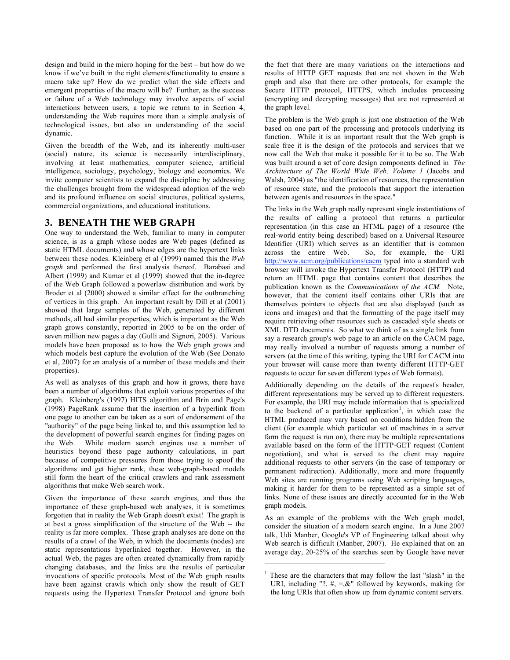design and build in the micro hoping for the best – but how do we know if we've built in the right elements/functionality to ensure a macro take up? How do we predict what the side effects and emergent properties of the macro will be? Further, as the success or failure of a Web technology may involve aspects of social interactions between users, a topic we return to in Section 4, understanding the Web requires more than a simple analysis of technological issues, but also an understanding of the social dynamic.

Given the breadth of the Web, and its inherently multi-user (social) nature, its science is necessarily interdisciplinary, involving at least mathematics, computer science, artificial intelligence, sociology, psychology, biology and economics. We invite computer scientists to expand the discipline by addressing the challenges brought from the widespread adoption of the web and its profound influence on social structures, political systems, commercial organizations, and educational institutions.

# **3. BENEATH THE WEB GRAPH**

One way to understand the Web, familiar to many in computer science, is as a graph whose nodes are Web pages (defined as static HTML documents) and whose edges are the hypertext links between these nodes. Kleinberg et al (1999) named this the *Web graph* and performed the first analysis thereof. Barabasi and Albert (1999) and Kumar et al (1999) showed that the in-degree of the Web Graph followed a powerlaw distribution and work by Broder et al (2000) showed a similar effect for the outbranching of vertices in this graph. An important result by Dill et al (2001) showed that large samples of the Web, generated by different methods, all had similar properties, which is important as the Web graph grows constantly, reported in 2005 to be on the order of seven million new pages a day (Gulli and Signori, 2005). Various models have been proposed as to how the Web graph grows and which models best capture the evolution of the Web (See Donato et al, 2007) for an analysis of a number of these models and their properties).

As well as analyses of this graph and how it grows, there have been a number of algorithms that exploit various properties of the graph. Kleinberg's (1997) HITS algorithm and Brin and Page's (1998) PageRank assume that the insertion of a hyperlink from one page to another can be taken as a sort of endorsement of the "authority" of the page being linked to, and this assumption led to the development of powerful search engines for finding pages on the Web. While modern search engines use a number of heuristics beyond these page authority calculations, in part because of competitive pressures from those trying to spoof the algorithms and get higher rank, these web-graph-based models still form the heart of the critical crawlers and rank assessment algorithms that make Web search work.

Given the importance of these search engines, and thus the importance of these graph-based web analyses, it is sometimes forgotten that in reality the Web Graph doesn't exist! The graph is at best a gross simplification of the structure of the Web -- the reality is far more complex. These graph analyses are done on the results of a crawl of the Web, in which the documents (nodes) are static representations hyperlinked together. However, in the actual Web, the pages are often created dynamically from rapidly changing databases, and the links are the results of particular invocations of specific protocols. Most of the Web graph results have been against crawls which only show the result of GET requests using the Hypertext Transfer Protocol and ignore both the fact that there are many variations on the interactions and results of HTTP GET requests that are not shown in the Web graph and also that there are other protocols, for example the Secure HTTP protocol, HTTPS, which includes processing (encrypting and decrypting messages) that are not represented at the graph level.

The problem is the Web graph is just one abstraction of the Web based on one part of the processing and protocols underlying its function. While it is an important result that the Web graph is scale free it is the design of the protocols and services that we now call the Web that make it possible for it to be so. The Web was built around a set of core design components defined in *The Architecture of The World Wide Web, Volume 1* (Jacobs and Walsh, 2004) as "the identification of resources, the representation of resource state, and the protocols that support the interaction between agents and resources in the space."

The links in the Web graph really represent single instantiations of the results of calling a protocol that returns a particular representation (in this case an HTML page) of a resource (the real-world entity being described) based on a Universal Resource Identifier (URI) which serves as an identifier that is common across the entire Web. So, for example, the URI http://www.acm.org/publications/cacm typed into a standard web browser will invoke the Hypertext Transfer Protocol (HTTP) and return an HTML page that contains content that describes the publication known as the *Communications of the ACM.* Note, however, that the content itself contains other URIs that are themselves pointers to objects that are also displayed (such as icons and images) and that the formatting of the page itself may require retrieving other resources such as cascaded style sheets or XML DTD documents. So what we think of as a single link from say a research group's web page to an article on the CACM page, may really involved a number of requests among a number of servers (at the time of this writing, typing the URI for CACM into your browser will cause more than twenty different HTTP-GET requests to occur for seven different types of Web formats).

Additionally depending on the details of the request's header, different representations may be served up to different requesters. For example, the URI may include information that is specialized to the backend of a particular application<sup>1</sup>, in which case the HTML produced may vary based on conditions hidden from the client (for example which particular set of machines in a server farm the request is run on), there may be multiple representations available based on the form of the HTTP-GET request (Content negotiation), and what is served to the client may require additional requests to other servers (in the case of temporary or permanent redirection). Additionally, more and more frequently Web sites are running programs using Web scripting languages, making it harder for them to be represented as a simple set of links. None of these issues are directly accounted for in the Web graph models.

As an example of the problems with the Web graph model, consider the situation of a modern search engine. In a June 2007 talk, Udi Manber, Google's VP of Engineering talked about why Web search is difficult (Manber, 2007). He explained that on an average day, 20-25% of the searches seen by Google have never

 $\overline{a}$ 

<sup>&</sup>lt;sup>1</sup> These are the characters that may follow the last "slash" in the URI, including "?.  $\#$ , =,&" followed by keywords, making for the long URIs that often show up from dynamic content servers.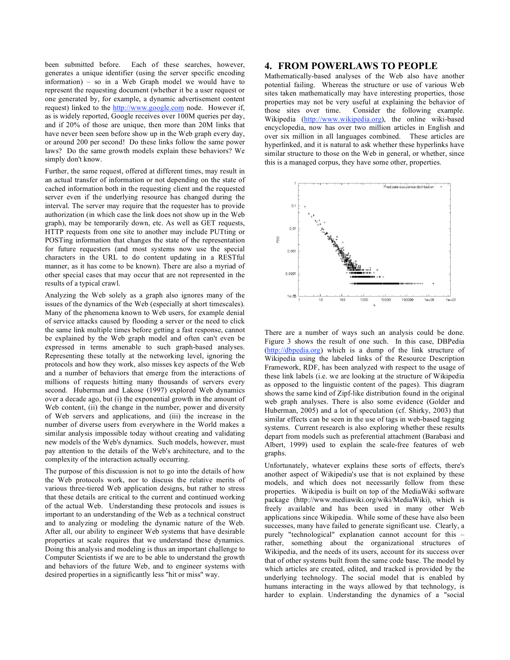been submitted before. Each of these searches, however, generates a unique identifier (using the server specific encoding information) – so in a Web Graph model we would have to represent the requesting document (whether it be a user request or one generated by, for example, a dynamic advertisement content request) linked to the http://www.google.com node. However if, as is widely reported, Google receives over 100M queries per day, and if 20% of those are unique, then more than 20M links that have never been seen before show up in the Web graph every day, or around 200 per second! Do these links follow the same power laws? Do the same growth models explain these behaviors? We simply don't know.

Further, the same request, offered at different times, may result in an actual transfer of information or not depending on the state of cached information both in the requesting client and the requested server even if the underlying resource has changed during the interval. The server may require that the requester has to provide authorization (in which case the link does not show up in the Web graph), may be temporarily down, etc. As well as GET requests, HTTP requests from one site to another may include PUTting or POSTing information that changes the state of the representation for future requesters (and most systems now use the special characters in the URL to do content updating in a RESTful manner, as it has come to be known). There are also a myriad of other special cases that may occur that are not represented in the results of a typical crawl.

Analyzing the Web solely as a graph also ignores many of the issues of the dynamics of the Web (especially at short timescales). Many of the phenomena known to Web users, for example denial of service attacks caused by flooding a server or the need to click the same link multiple times before getting a fast response, cannot be explained by the Web graph model and often can't even be expressed in terms amenable to such graph-based analyses. Representing these totally at the networking level, ignoring the protocols and how they work, also misses key aspects of the Web and a number of behaviors that emerge from the interactions of millions of requests hitting many thousands of servers every second. Huberman and Lakose (1997) explored Web dynamics over a decade ago, but (i) the exponential growth in the amount of Web content, (ii) the change in the number, power and diversity of Web servers and applications, and (iii) the increase in the number of diverse users from everywhere in the World makes a similar analysis impossible today without creating and validating new models of the Web's dynamics. Such models, however, must pay attention to the details of the Web's architecture, and to the complexity of the interaction actually occurring.

The purpose of this discussion is not to go into the details of how the Web protocols work, nor to discuss the relative merits of various three-tiered Web application designs, but rather to stress that these details are critical to the current and continued working of the actual Web. Understanding these protocols and issues is important to an understanding of the Web as a technical construct and to analyzing or modeling the dynamic nature of the Web. After all, our ability to engineer Web systems that have desirable properties at scale requires that we understand these dynamics. Doing this analysis and modeling is thus an important challenge to Computer Scientists if we are to be able to understand the growth and behaviors of the future Web, and to engineer systems with desired properties in a significantly less "hit or miss" way.

#### **4. FROM POWERLAWS TO PEOPLE**

Mathematically-based analyses of the Web also have another potential failing. Whereas the structure or use of various Web sites taken mathematically may have interesting properties, those properties may not be very useful at explaining the behavior of those sites over time. Consider the following example. Wikipedia (http://www.wikipedia.org), the online wiki-based encyclopedia, now has over two million articles in English and over six million in all languages combined. These articles are hyperlinked, and it is natural to ask whether these hyperlinks have similar structure to those on the Web in general, or whether, since this is a managed corpus, they have some other, properties.



There are a number of ways such an analysis could be done. Figure 3 shows the result of one such. In this case, DBPedia (http://dbpedia.org) which is a dump of the link structure of Wikipedia using the labeled links of the Resource Description Framework, RDF, has been analyzed with respect to the usage of these link labels (i.e. we are looking at the structure of Wikipedia as opposed to the linguistic content of the pages). This diagram shows the same kind of Zipf-like distribution found in the original web graph analyses. There is also some evidence (Golder and Huberman, 2005) and a lot of speculation (cf. Shirky, 2003) that similar effects can be seen in the use of tags in web-based tagging systems. Current research is also exploring whether these results depart from models such as preferential attachment (Barabasi and Albert, 1999) used to explain the scale-free features of web graphs.

Unfortunately, whatever explains these sorts of effects, there's another aspect of Wikipedia's use that is not explained by these models, and which does not necessarily follow from these properties. Wikipedia is built on top of the MediaWiki software package (http://www.mediawiki.org/wiki/MediaWiki), which is freely available and has been used in many other Web applications since Wikipedia. While some of these have also been successes, many have failed to generate significant use. Clearly, a purely "technological" explanation cannot account for this – rather, something about the organizational structures of Wikipedia, and the needs of its users, account for its success over that of other systems built from the same code base. The model by which articles are created, edited, and tracked is provided by the underlying technology. The social model that is enabled by humans interacting in the ways allowed by that technology, is harder to explain. Understanding the dynamics of a "social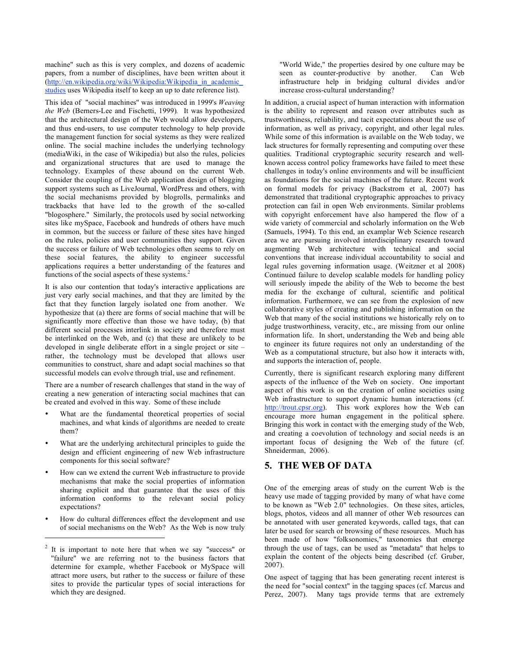machine" such as this is very complex, and dozens of academic papers, from a number of disciplines, have been written about it (http://en.wikipedia.org/wiki/Wikipedia:Wikipedia in academic studies uses Wikipedia itself to keep an up to date reference list).

This idea of "social machines" was introduced in 1999's *Weaving the Web* (Berners-Lee and Fischetti, 1999)*.* It was hypothesized that the architectural design of the Web would allow developers, and thus end-users, to use computer technology to help provide the management function for social systems as they were realized online. The social machine includes the underlying technology (mediaWiki, in the case of Wikipedia) but also the rules, policies and organizational structures that are used to manage the technology. Examples of these abound on the current Web. Consider the coupling of the Web application design of blogging support systems such as LiveJournal, WordPress and others, with the social mechanisms provided by blogrolls, permalinks and trackbacks that have led to the growth of the so-called "blogosphere." Similarly, the protocols used by social networking sites like mySpace, Facebook and hundreds of others have much in common, but the success or failure of these sites have hinged on the rules, policies and user communities they support. Given the success or failure of Web technologies often seems to rely on these social features, the ability to engineer successful applications requires a better understanding of the features and functions of the social aspects of these systems.<sup>2</sup>

It is also our contention that today's interactive applications are just very early social machines, and that they are limited by the fact that they function largely isolated one from another. We hypothesize that (a) there are forms of social machine that will be significantly more effective than those we have today, (b) that different social processes interlink in society and therefore must be interlinked on the Web, and (c) that these are unlikely to be developed in single deliberate effort in a single project or site – rather, the technology must be developed that allows user communities to construct, share and adapt social machines so that successful models can evolve through trial, use and refinement.

There are a number of research challenges that stand in the way of creating a new generation of interacting social machines that can be created and evolved in this way. Some of these include

- What are the fundamental theoretical properties of social machines, and what kinds of algorithms are needed to create them?
- What are the underlying architectural principles to guide the design and efficient engineering of new Web infrastructure components for this social software?
- How can we extend the current Web infrastructure to provide mechanisms that make the social properties of information sharing explicit and that guarantee that the uses of this information conforms to the relevant social policy expectations?
- How do cultural differences effect the development and use of social mechanisms on the Web? As the Web is now truly

l

"World Wide," the properties desired by one culture may be seen as counter-productive by another. Can Web infrastructure help in bridging cultural divides and/or increase cross-cultural understanding?

In addition, a crucial aspect of human interaction with information is the ability to represent and reason over attributes such as trustworthiness, reliability, and tacit expectations about the use of information, as well as privacy, copyright, and other legal rules. While some of this information is available on the Web today, we lack structures for formally representing and computing over these qualities. Traditional cryptographic security research and wellknown access control policy frameworks have failed to meet these challenges in today's online environments and will be insufficient as foundations for the social machines of the future. Recent work on formal models for privacy (Backstrom et al, 2007) has demonstrated that traditional cryptographic approaches to privacy protection can fail in open Web environments. Similar problems with copyright enforcement have also hampered the flow of a wide variety of commercial and scholarly information on the Web (Samuels, 1994). To this end, an examplar Web Science research area we are pursuing involved interdisciplinary research toward augmenting Web architecture with technical and social conventions that increase individual accountability to social and legal rules governing information usage. (Weitzner et al 2008) Continued failure to develop scalable models for handling policy will seriously impede the ability of the Web to become the best media for the exchange of cultural, scientific and political information. Furthermore, we can see from the explosion of new collaborative styles of creating and publishing information on the Web that many of the social institutions we historically rely on to judge trustworthiness, veracity, etc., are missing from our online information life. In short, understanding the Web and being able to engineer its future requires not only an understanding of the Web as a computational structure, but also how it interacts with, and supports the interaction of, people.

Currently, there is significant research exploring many different aspects of the influence of the Web on society. One important aspect of this work is on the creation of online societies using Web infrastructure to support dynamic human interactions (cf. http://trout.cpsr.org). This work explores how the Web can encourage more human engagement in the political sphere. Bringing this work in contact with the emerging study of the Web, and creating a coevolution of technology and social needs is an important focus of designing the Web of the future (cf. Shneiderman, 2006).

# **5. THE WEB OF DATA**

One of the emerging areas of study on the current Web is the heavy use made of tagging provided by many of what have come to be known as "Web 2.0" technologies. On these sites, articles, blogs, photos, videos and all manner of other Web resources can be annotated with user generated keywords, called tags, that can later be used for search or browsing of these resources. Much has been made of how "folksonomies," taxonomies that emerge through the use of tags, can be used as "metadata" that helps to explain the content of the objects being described (cf. Gruber, 2007).

One aspect of tagging that has been generating recent interest is the need for "social context" in the tagging spaces (cf. Marcus and Perez, 2007). Many tags provide terms that are extremely

<sup>&</sup>lt;sup>2</sup> It is important to note here that when we say "success" or "failure" we are referring not to the business factors that determine for example, whether Facebook or MySpace will attract more users, but rather to the success or failure of these sites to provide the particular types of social interactions for which they are designed.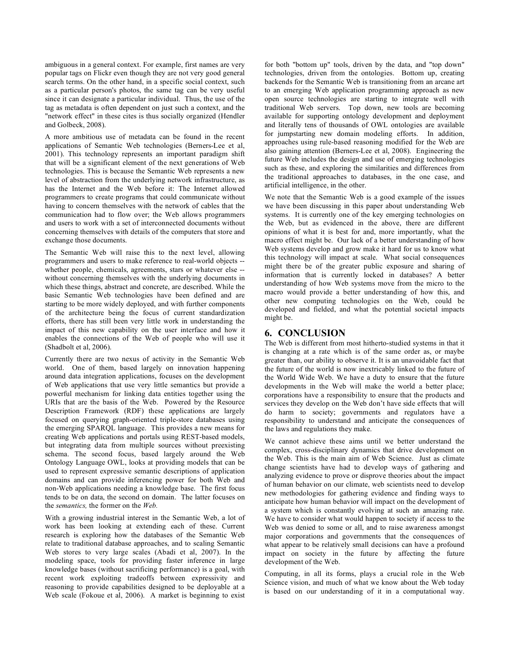ambiguous in a general context. For example, first names are very popular tags on Flickr even though they are not very good general search terms. On the other hand, in a specific social context, such as a particular person's photos, the same tag can be very useful since it can designate a particular individual. Thus, the use of the tag as metadata is often dependent on just such a context, and the "network effect" in these cites is thus socially organized (Hendler and Golbeck, 2008).

A more ambitious use of metadata can be found in the recent applications of Semantic Web technologies (Berners-Lee et al, 2001). This technology represents an important paradigm shift that will be a significant element of the next generations of Web technologies. This is because the Semantic Web represents a new level of abstraction from the underlying network infrastructure, as has the Internet and the Web before it: The Internet allowed programmers to create programs that could communicate without having to concern themselves with the network of cables that the communication had to flow over; the Web allows programmers and users to work with a set of interconnected documents without concerning themselves with details of the computers that store and exchange those documents.

The Semantic Web will raise this to the next level, allowing programmers and users to make reference to real-world objects - whether people, chemicals, agreements, stars or whatever else - without concerning themselves with the underlying documents in which these things, abstract and concrete, are described. While the basic Semantic Web technologies have been defined and are starting to be more widely deployed, and with further components of the architecture being the focus of current standardization efforts, there has still been very little work in understanding the impact of this new capability on the user interface and how it enables the connections of the Web of people who will use it (Shadbolt et al, 2006).

Currently there are two nexus of activity in the Semantic Web world. One of them, based largely on innovation happening around data integration applications, focuses on the development of Web applications that use very little semantics but provide a powerful mechanism for linking data entities together using the URIs that are the basis of the Web. Powered by the Resource Description Framework (RDF) these applications are largely focused on querying graph-oriented triple-store databases using the emerging SPARQL language. This provides a new means for creating Web applications and portals using REST-based models, but integrating data from multiple sources without preexisting schema. The second focus, based largely around the Web Ontology Language OWL, looks at providing models that can be used to represent expressive semantic descriptions of application domains and can provide inferencing power for both Web and non-Web applications needing a knowledge base. The first focus tends to be on data, the second on domain. The latter focuses on the *semantics,* the former on the *Web.*

With a growing industrial interest in the Semantic Web, a lot of work has been looking at extending each of these. Current research is exploring how the databases of the Semantic Web relate to traditional database approaches, and to scaling Semantic Web stores to very large scales (Abadi et al, 2007). In the modeling space, tools for providing faster inference in large knowledge bases (without sacrificing performance) is a goal, with recent work exploiting tradeoffs between expressivity and reasoning to provide capabilities designed to be deployable at a Web scale (Fokoue et al, 2006). A market is beginning to exist

for both "bottom up" tools, driven by the data, and "top down" technologies, driven from the ontologies. Bottom up, creating backends for the Semantic Web is transitioning from an arcane art to an emerging Web application programming approach as new open source technologies are starting to integrate well with traditional Web servers. Top down, new tools are becoming available for supporting ontology development and deployment and literally tens of thousands of OWL ontologies are available for jumpstarting new domain modeling efforts. In addition, approaches using rule-based reasoning modified for the Web are also gaining attention (Berners-Lee et al, 2008). Engineering the future Web includes the design and use of emerging technologies such as these, and exploring the similarities and differences from the traditional approaches to databases, in the one case, and artificial intelligence, in the other.

We note that the Semantic Web is a good example of the issues we have been discussing in this paper about understanding Web systems. It is currently one of the key emerging technologies on the Web, but as evidenced in the above, there are different opinions of what it is best for and, more importantly, what the macro effect might be. Our lack of a better understanding of how Web systems develop and grow make it hard for us to know what this technology will impact at scale. What social consequences might there be of the greater public exposure and sharing of information that is currently locked in databases? A better understanding of how Web systems move from the micro to the macro would provide a better understanding of how this, and other new computing technologies on the Web, could be developed and fielded, and what the potential societal impacts might be.

### **6. CONCLUSION**

The Web is different from most hitherto-studied systems in that it is changing at a rate which is of the same order as, or maybe greater than, our ability to observe it. It is an unavoidable fact that the future of the world is now inextricably linked to the future of the World Wide Web. We have a duty to ensure that the future developments in the Web will make the world a better place; corporations have a responsibility to ensure that the products and services they develop on the Web don't have side effects that will do harm to society; governments and regulators have a responsibility to understand and anticipate the consequences of the laws and regulations they make.

We cannot achieve these aims until we better understand the complex, cross-disciplinary dynamics that drive development on the Web. This is the main aim of Web Science. Just as climate change scientists have had to develop ways of gathering and analyzing evidence to prove or disprove theories about the impact of human behavior on our climate, web scientists need to develop new methodologies for gathering evidence and finding ways to anticipate how human behavior will impact on the development of a system which is constantly evolving at such an amazing rate. We have to consider what would happen to society if access to the Web was denied to some or all, and to raise awareness amongst major corporations and governments that the consequences of what appear to be relatively small decisions can have a profound impact on society in the future by affecting the future development of the Web.

Computing, in all its forms, plays a crucial role in the Web Science vision, and much of what we know about the Web today is based on our understanding of it in a computational way.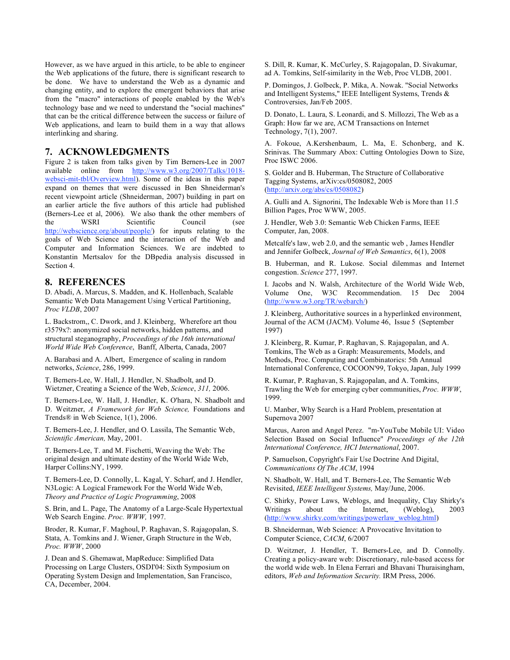However, as we have argued in this article, to be able to engineer the Web applications of the future, there is significant research to be done. We have to understand the Web as a dynamic and changing entity, and to explore the emergent behaviors that arise from the "macro" interactions of people enabled by the Web's technology base and we need to understand the "social machines" that can be the critical difference between the success or failure of Web applications, and learn to build them in a way that allows interlinking and sharing.

## **7. ACKNOWLEDGMENTS**

Figure 2 is taken from talks given by Tim Berners-Lee in 2007 available online from http://www.w3.org/2007/Talks/1018 websci-mit-tbl/Overview.html). Some of the ideas in this paper expand on themes that were discussed in Ben Shneiderman's recent viewpoint article (Shneiderman, 2007) building in part on an earlier article the five authors of this article had published (Berners-Lee et al, 2006). We also thank the other members of the WSRI Scientific Council (see the WSRI Scientific Council (see http://webscience.org/about/people/) for inputs relating to the goals of Web Science and the interaction of the Web and Computer and Information Sciences. We are indebted to Konstantin Mertsalov for the DBpedia analysis discussed in Section 4.

## **8. REFERENCES**

D. Abadi, A. Marcus, S. Madden, and K. Hollenbach, Scalable Semantic Web Data Management Using Vertical Partitioning, *Proc VLDB*, 2007

L. Backstrom,, C. Dwork, and J. Kleinberg, Wherefore art thou r3579x?: anonymized social networks, hidden patterns, and structural steganography, *Proceedings of the 16th international World Wide Web Conference*, Banff, Alberta, Canada, 2007

A. Barabasi and A. Albert, Emergence of scaling in random networks, *Science*, 286, 1999.

T. Berners-Lee, W. Hall, J. Hendler, N. Shadbolt, and D. Wietzner, Creating a Science of the Web, *Science*, *311,* 2006.

T. Berners-Lee, W. Hall, J. Hendler, K. O'hara, N. Shadbolt and D. Weitzner, *A Framework for Web Science,* Foundations and Trends® in Web Science, 1(1), 2006.

T. Berners-Lee, J. Hendler, and O. Lassila, The Semantic Web, *Scientific American,* May, 2001.

T. Berners-Lee, T. and M. Fischetti, Weaving the Web: The original design and ultimate destiny of the World Wide Web, Harper Collins:NY, 1999.

T. Berners-Lee, D. Connolly, L. Kagal, Y. Scharf, and J. Hendler, N3Logic: A Logical Framework For the World Wide Web, *Theory and Practice of Logic Programming*, 2008

S. Brin, and L. Page, The Anatomy of a Large-Scale Hypertextual Web Search Engine. *Proc. WWW,* 1997.

Broder, R. Kumar, F. Maghoul, P. Raghavan, S. Rajagopalan, S. Stata, A. Tomkins and J. Wiener, Graph Structure in the Web, *Proc. WWW*, 2000

J. Dean and S. Ghemawat, MapReduce: Simplified Data Processing on Large Clusters, OSDI'04: Sixth Symposium on Operating System Design and Implementation, San Francisco, CA, December, 2004.

S. Dill, R. Kumar, K. McCurley, S. Rajagopalan, D. Sivakumar, ad A. Tomkins, Self-similarity in the Web, Proc VLDB, 2001.

P. Domingos, J. Golbeck, P. Mika, A. Nowak. "Social Networks and Intelligent Systems," IEEE Intelligent Systems, Trends & Controversies, Jan/Feb 2005.

D. Donato, L. Laura, S. Leonardi, and S. Millozzi, The Web as a Graph: How far we are, ACM Transactions on Internet Technology, 7(1), 2007.

A. Fokoue, A.Kershenbaum, L. Ma, E. Schonberg, and K. Srinivas. The Summary Abox: Cutting Ontologies Down to Size, Proc ISWC 2006.

S. Golder and B. Huberman, The Structure of Collaborative Tagging Systems, arXiv:cs/0508082, 2005 (http://arxiv.org/abs/cs/0508082)

A. Gulli and A. Signorini, The Indexable Web is More than 11.5 Billion Pages, Proc WWW, 2005.

J. Hendler, Web 3.0: Semantic Web Chicken Farms, IEEE Computer, Jan, 2008.

Metcalfe's law, web 2.0, and the semantic web , James Hendler and Jennifer Golbeck, *Journal of Web Semantics*, 6(1), 2008

B. Huberman, and R. Lukose. Social dilemmas and Internet congestion. *Science* 277, 1997.

I. Jacobs and N. Walsh, Architecture of the World Wide Web, Volume One, W3C Recommendation. 15 Dec 2004 (http://www.w3.org/TR/webarch/)

J. Kleinberg, Authoritative sources in a hyperlinked environment, Journal of the ACM (JACM). Volume 46, Issue 5 (September 1997)

J. Kleinberg, R. Kumar, P. Raghavan, S. Rajagopalan, and A. Tomkins, The Web as a Graph: Measurements, Models, and Methods, Proc. Computing and Combinatorics: 5th Annual International Conference, COCOON'99, Tokyo, Japan, July 1999

R. Kumar, P. Raghavan, S. Rajagopalan, and A. Tomkins, Trawling the Web for emerging cyber communities, *Proc. WWW*, 1999.

U. Manber, Why Search is a Hard Problem, presentation at Supernova 2007

Marcus, Aaron and Angel Perez. "m-YouTube Mobile UI: Video Selection Based on Social Influence" *Proceedings of the 12th International Conference, HCI International*, 2007.

P. Samuelson, Copyright's Fair Use Doctrine And Digital, *Communications Of The ACM*, 1994

N. Shadbolt, W. Hall, and T. Berners-Lee, The Semantic Web Revisited, *IEEE Intelligent Systems,* May/June, 2006.

C. Shirky, Power Laws, Weblogs, and Inequality, Clay Shirky's Writings about the Internet, (Weblog), 2003 (http://www.shirky.com/writings/powerlaw\_weblog.html)

B. Shneiderman, Web Science: A Provocative Invitation to Computer Science, *CACM*, 6/2007

D. Weitzner, J. Hendler, T. Berners-Lee, and D. Connolly. Creating a policy-aware web: Discretionary, rule-based access for the world wide web. In Elena Ferrari and Bhavani Thuraisingham, editors, *Web and Information Security.* IRM Press, 2006.